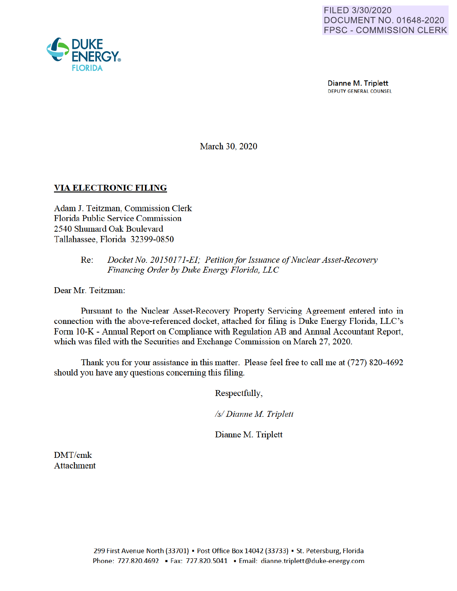

Dianne M. Triplett DEPUTY GENERAL COUNSEL

March 30, 2020

# **VIA ELECTRONIC FILING**

Adam J. Teitzman, Commission Clerk Florida Public Service Commission 2540 Shumard Oak Boulevard Tallahassee, Florida 32399-0850

### Re: *Docket No. 20150171-EI; Petition for Issuance of Nuclear Asset-Recovery Financing Order by Duke Energy Florida, LLC*

Dear Mr. Teitzman:

Pursuant to the Nuclear Asset-Recovery Property Servicing Agreement entered into in connection with the above-referenced docket, attached for filing is Duke Energy Florida, LLC's Form 10-K - Annual Report on Compliance with Regulation AB and Annual Accountant Report, which was filed with the Securities and Exchange Commission on March 27, 2020.

Thank you for your assistance in this matter. Please feel free to call me at (727) 820-4692 should you have any questions concerning this filing.

Respectfully

*Isl Dianne M Triplett* 

Dianne M. Triplett

DMT/cmk Attachment

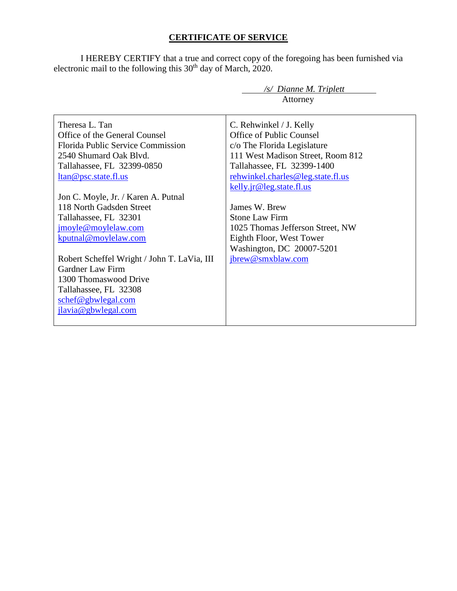# **CERTIFICATE OF SERVICE**

I HEREBY CERTIFY that a true and correct copy of the foregoing has been furnished via electronic mail to the following this  $30<sup>th</sup>$  day of March, 2020.

|                                             | $\sqrt{s}$ Dianne M. Triplett     |
|---------------------------------------------|-----------------------------------|
|                                             | Attorney                          |
|                                             |                                   |
| Theresa L. Tan                              | C. Rehwinkel / J. Kelly           |
| Office of the General Counsel               | Office of Public Counsel          |
| Florida Public Service Commission           | c/o The Florida Legislature       |
| 2540 Shumard Oak Blyd.                      | 111 West Madison Street, Room 812 |
| Tallahassee, FL 32399-0850                  | Tallahassee, FL 32399-1400        |
| <u>ltan@psc.state.fl.us</u>                 | rehwinkel.charles@leg.state.fl.us |
|                                             | kelly.jr@leg.state.fl.us          |
| Jon C. Moyle, Jr. / Karen A. Putnal         |                                   |
| 118 North Gadsden Street                    | James W. Brew                     |
| Tallahassee, FL 32301                       | <b>Stone Law Firm</b>             |
| jmoyle@moylelaw.com                         | 1025 Thomas Jefferson Street, NW  |
| kputnal@moylelaw.com                        | Eighth Floor, West Tower          |
|                                             | Washington, DC 20007-5201         |
| Robert Scheffel Wright / John T. LaVia, III | jbrew@smxblaw.com                 |
| Gardner Law Firm                            |                                   |
| 1300 Thomaswood Drive                       |                                   |
| Tallahassee, FL 32308                       |                                   |
| schef@gbwlegal.com                          |                                   |
| jlavia@gbwlegal.com                         |                                   |
|                                             |                                   |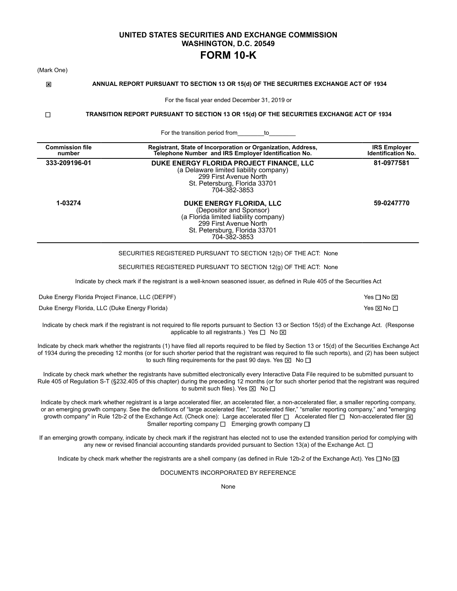### **UNITED STATES SECURITIES AND EXCHANGE COMMISSION WASHINGTON, D.C. 20549 FORM 10-K**

| (Mark One) |                                                  |                                                                                                                                                                                                                                                                                                                                                                                                                                                                                                                     |    |                                                  |
|------------|--------------------------------------------------|---------------------------------------------------------------------------------------------------------------------------------------------------------------------------------------------------------------------------------------------------------------------------------------------------------------------------------------------------------------------------------------------------------------------------------------------------------------------------------------------------------------------|----|--------------------------------------------------|
| ⊠          |                                                  | ANNUAL REPORT PURSUANT TO SECTION 13 OR 15(d) OF THE SECURITIES EXCHANGE ACT OF 1934                                                                                                                                                                                                                                                                                                                                                                                                                                |    |                                                  |
|            |                                                  | For the fiscal year ended December 31, 2019 or                                                                                                                                                                                                                                                                                                                                                                                                                                                                      |    |                                                  |
| □          |                                                  | TRANSITION REPORT PURSUANT TO SECTION 13 OR 15(d) OF THE SECURITIES EXCHANGE ACT OF 1934                                                                                                                                                                                                                                                                                                                                                                                                                            |    |                                                  |
|            |                                                  | For the transition period from                                                                                                                                                                                                                                                                                                                                                                                                                                                                                      | to |                                                  |
|            | <b>Commission file</b><br>number                 | Registrant, State of Incorporation or Organization, Address,<br>Telephone Number and IRS Employer Identification No.                                                                                                                                                                                                                                                                                                                                                                                                |    | <b>IRS Employer</b><br><b>Identification No.</b> |
|            | 333-209196-01                                    | DUKE ENERGY FLORIDA PROJECT FINANCE. LLC<br>(a Delaware limited liability company)<br>299 First Avenue North<br>St. Petersburg, Florida 33701<br>704-382-3853                                                                                                                                                                                                                                                                                                                                                       |    | 81-0977581                                       |
|            | 1-03274                                          | DUKE ENERGY FLORIDA, LLC<br>(Depositor and Sponsor)<br>(a Florida limited liability company)<br>299 First Avenue North<br>St. Petersburg, Florida 33701<br>704-382-3853                                                                                                                                                                                                                                                                                                                                             |    | 59-0247770                                       |
|            |                                                  | SECURITIES REGISTERED PURSUANT TO SECTION 12(b) OF THE ACT: None                                                                                                                                                                                                                                                                                                                                                                                                                                                    |    |                                                  |
|            |                                                  | SECURITIES REGISTERED PURSUANT TO SECTION 12(g) OF THE ACT: None                                                                                                                                                                                                                                                                                                                                                                                                                                                    |    |                                                  |
|            |                                                  | Indicate by check mark if the registrant is a well-known seasoned issuer, as defined in Rule 405 of the Securities Act                                                                                                                                                                                                                                                                                                                                                                                              |    |                                                  |
|            | Duke Energy Florida Project Finance, LLC (DEFPF) |                                                                                                                                                                                                                                                                                                                                                                                                                                                                                                                     |    | Yes □ No ⊠                                       |
|            | Duke Energy Florida, LLC (Duke Energy Florida)   |                                                                                                                                                                                                                                                                                                                                                                                                                                                                                                                     |    | Yes ⊠ No □                                       |
|            |                                                  | Indicate by check mark if the registrant is not required to file reports pursuant to Section 13 or Section 15(d) of the Exchange Act. (Response<br>applicable to all registrants.) Yes $\Box$ No $\boxtimes$                                                                                                                                                                                                                                                                                                        |    |                                                  |
|            |                                                  | Indicate by check mark whether the registrants (1) have filed all reports required to be filed by Section 13 or 15(d) of the Securities Exchange Act<br>of 1934 during the preceding 12 months (or for such shorter period that the registrant was required to file such reports), and (2) has been subject<br>to such filing requirements for the past 90 days. Yes $\boxtimes$ No $\square$                                                                                                                       |    |                                                  |
|            |                                                  | Indicate by check mark whether the registrants have submitted electronically every Interactive Data File required to be submitted pursuant to<br>Rule 405 of Regulation S-T (§232.405 of this chapter) during the preceding 12 months (or for such shorter period that the registrant was required<br>to submit such files). Yes $\boxtimes$ No $\square$                                                                                                                                                           |    |                                                  |
|            |                                                  | Indicate by check mark whether registrant is a large accelerated filer, an accelerated filer, a non-accelerated filer, a smaller reporting company,<br>or an emerging growth company. See the definitions of "large accelerated filer," "accelerated filer," "smaller reporting company," and "emerging<br>growth company" in Rule 12b-2 of the Exchange Act. (Check one): Large accelerated filer □ Accelerated filer □ Non-accelerated filer ⊠<br>Smaller reporting company $\Box$ Emerging growth company $\Box$ |    |                                                  |
|            |                                                  | If an emerging growth company, indicate by check mark if the registrant has elected not to use the extended transition period for complying with<br>any new or revised financial accounting standards provided pursuant to Section 13(a) of the Exchange Act. $\Box$                                                                                                                                                                                                                                                |    |                                                  |

Indicate by check mark whether the registrants are a shell company (as defined in Rule 12b-2 of the Exchange Act). Yes  $\Box$  No  $\boxtimes$ 

DOCUMENTS INCORPORATED BY REFERENCE

None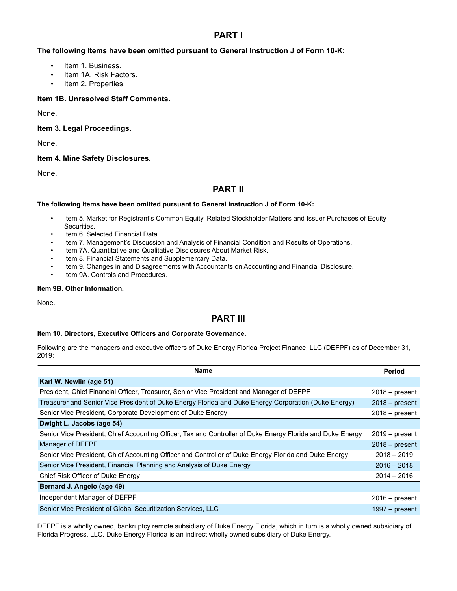### **PART I**

### **The following Items have been omitted pursuant to General Instruction J of Form 10-K:**

- Item 1. Business.
- Item 1A. Risk Factors.
- Item 2. Properties.

### **Item 1B. Unresolved Staff Comments.**

None.

**Item 3. Legal Proceedings.**

None.

### **Item 4. Mine Safety Disclosures.**

None.

## **PART II**

#### **The following Items have been omitted pursuant to General Instruction J of Form 10-K:**

- Item 5. Market for Registrant's Common Equity, Related Stockholder Matters and Issuer Purchases of Equity Securities.
- Item 6. Selected Financial Data.
- Item 7. Management's Discussion and Analysis of Financial Condition and Results of Operations.
- Item 7A. Quantitative and Qualitative Disclosures About Market Risk.
- Item 8. Financial Statements and Supplementary Data.
- Item 9. Changes in and Disagreements with Accountants on Accounting and Financial Disclosure.
- Item 9A. Controls and Procedures.

### **Item 9B. Other Information.**

None.

### **PART III**

#### **Item 10. Directors, Executive Officers and Corporate Governance.**

Following are the managers and executive officers of Duke Energy Florida Project Finance, LLC (DEFPF) as of December 31, 2019:

| <b>Name</b>                                                                                                | <b>Period</b>    |
|------------------------------------------------------------------------------------------------------------|------------------|
| Karl W. Newlin (age 51)                                                                                    |                  |
| President, Chief Financial Officer, Treasurer, Senior Vice President and Manager of DEFPF                  | $2018 - present$ |
| Treasurer and Senior Vice President of Duke Energy Florida and Duke Energy Corporation (Duke Energy)       | $2018 - present$ |
| Senior Vice President, Corporate Development of Duke Energy                                                | $2018 - present$ |
| Dwight L. Jacobs (age 54)                                                                                  |                  |
| Senior Vice President, Chief Accounting Officer, Tax and Controller of Duke Energy Florida and Duke Energy | $2019 - present$ |
| Manager of DEFPF                                                                                           | $2018 - present$ |
| Senior Vice President, Chief Accounting Officer and Controller of Duke Energy Florida and Duke Energy      | $2018 - 2019$    |
| Senior Vice President, Financial Planning and Analysis of Duke Energy                                      | $2016 - 2018$    |
| Chief Risk Officer of Duke Energy                                                                          | $2014 - 2016$    |
| Bernard J. Angelo (age 49)                                                                                 |                  |
| Independent Manager of DEFPF                                                                               | $2016 - present$ |
| Senior Vice President of Global Securitization Services, LLC                                               | $1997 - present$ |

DEFPF is a wholly owned, bankruptcy remote subsidiary of Duke Energy Florida, which in turn is a wholly owned subsidiary of Florida Progress, LLC. Duke Energy Florida is an indirect wholly owned subsidiary of Duke Energy.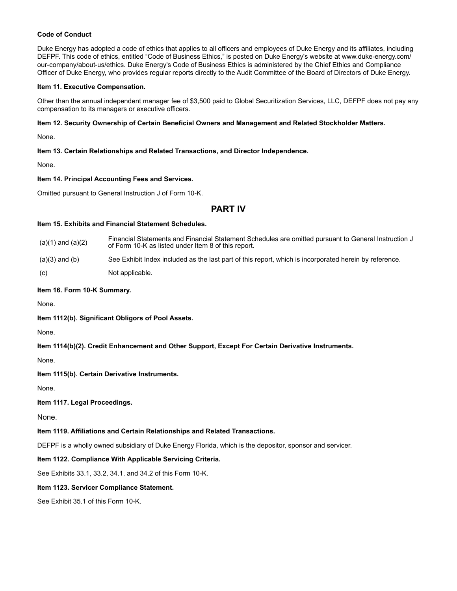#### **Code of Conduct**

Duke Energy has adopted a code of ethics that applies to all officers and employees of Duke Energy and its affiliates, including DEFPF. This code of ethics, entitled "Code of Business Ethics," is posted on Duke Energy's website at www.duke-energy.com/ our-company/about-us/ethics. Duke Energy's Code of Business Ethics is administered by the Chief Ethics and Compliance Officer of Duke Energy, who provides regular reports directly to the Audit Committee of the Board of Directors of Duke Energy.

#### **Item 11. Executive Compensation.**

Other than the annual independent manager fee of \$3,500 paid to Global Securitization Services, LLC, DEFPF does not pay any compensation to its managers or executive officers.

#### **Item 12. Security Ownership of Certain Beneficial Owners and Management and Related Stockholder Matters.**

None.

#### **Item 13. Certain Relationships and Related Transactions, and Director Independence.**

None.

#### **Item 14. Principal Accounting Fees and Services.**

Omitted pursuant to General Instruction J of Form 10-K.

### **PART IV**

#### **Item 15. Exhibits and Financial Statement Schedules.**

| $(a)(1)$ and $(a)(2)$ | Financial Statements and Financial Statement Schedules are omitted pursuant to General Instruction J<br>of Form 10-K as listed under Item 8 of this report. |
|-----------------------|-------------------------------------------------------------------------------------------------------------------------------------------------------------|
| $(a)(3)$ and $(b)$    | See Exhibit Index included as the last part of this report, which is incorporated herein by reference.                                                      |
| (c)                   | Not applicable.                                                                                                                                             |

#### **Item 16. Form 10-K Summary.**

None.

**Item 1112(b). Significant Obligors of Pool Assets.**

None.

#### **Item 1114(b)(2). Credit Enhancement and Other Support, Except For Certain Derivative Instruments.**

None.

**Item 1115(b). Certain Derivative Instruments.**

None.

#### **Item 1117. Legal Proceedings.**

None.

#### **Item 1119. Affiliations and Certain Relationships and Related Transactions.**

DEFPF is a wholly owned subsidiary of Duke Energy Florida, which is the depositor, sponsor and servicer.

#### **Item 1122. Compliance With Applicable Servicing Criteria.**

See Exhibits 33.1, 33.2, 34.1, and 34.2 of this Form 10-K.

#### **Item 1123. Servicer Compliance Statement.**

See Exhibit 35.1 of this Form 10-K.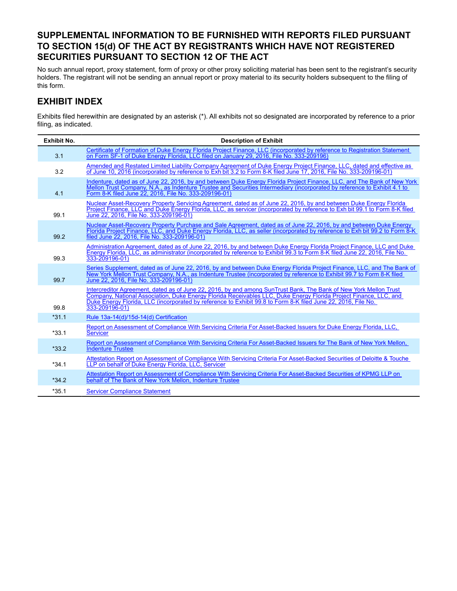# **SUPPLEMENTAL INFORMATION TO BE FURNISHED WITH REPORTS FILED PURSUANT TO SECTION 15(d) OF THE ACT BY REGISTRANTS WHICH HAVE NOT REGISTERED SECURITIES PURSUANT TO SECTION 12 OF THE ACT**

No such annual report, proxy statement, form of proxy or other proxy soliciting material has been sent to the registrant's security holders. The registrant will not be sending an annual report or proxy material to its security holders subsequent to the filing of this form.

# **EXHIBIT INDEX**

Exhibits filed herewithin are designated by an asterisk (\*). All exhibits not so designated are incorporated by reference to a prior filing, as indicated.

| <b>Exhibit No.</b> | <b>Description of Exhibit</b>                                                                                                                                                                                                                                                                                                                                             |
|--------------------|---------------------------------------------------------------------------------------------------------------------------------------------------------------------------------------------------------------------------------------------------------------------------------------------------------------------------------------------------------------------------|
| 3.1                | Certificate of Formation of Duke Energy Florida Project Finance, LLC (incorporated by reference to Registration Statement<br>on Form SF-1 of Duke Energy Florida, LLC filed on January 29, 2016. File No. 333-209196)                                                                                                                                                     |
| 3.2                | Amended and Restated Limited Liability Company Agreement of Duke Energy Project Finance, LLC, dated and effective as<br>of June 10, 2016 (incorporated by reference to Exh bit 3.2 to Form 8-K filed June 17, 2016, File No. 333-209196-01)                                                                                                                               |
| 4.1                | Indenture, dated as of June 22, 2016, by and between Duke Energy Florida Project Finance, LLC, and The Bank of New York<br>Mellon Trust Company, N.A., as Indenture Trustee and Securities Intermediary (incorporated by reference to Exhibit 4.1 to<br>Form 8-K filed June 22, 2016, File No. 333-209196-01)                                                             |
| 99.1               | Nuclear Asset-Recovery Property Servicing Agreement, dated as of June 22, 2016, by and between Duke Energy Florida<br>Project Finance, LLC and Duke Energy Florida, LLC, as servicer (incorporated by reference to Exh bit 99.1 to Form 8-K filed<br>June 22, 2016. File No. 333-209196-01)                                                                               |
| 99.2               | Nuclear Asset-Recovery Property Purchase and Sale Agreement, dated as of June 22, 2016, by and between Duke Energy<br>Florida Project Finance, LLC, and Duke Energy Florida, LLC, as seller (incorporated by reference to Exh bit 99.2 to Form 8-K)<br>filed June 22, 2016. File No. 333-209196-01)                                                                       |
| 99.3               | Administration Agreement, dated as of June 22, 2016, by and between Duke Energy Florida Project Finance, LLC and Duke<br>Energy Florida, LLC, as administrator (incorporated by reference to Exhibit 99.3 to Form 8-K filed June 22, 2016. File No.<br>333-209196-01)                                                                                                     |
| 99.7               | Series Supplement, dated as of June 22, 2016, by and between Duke Energy Florida Project Finance, LLC, and The Bank of<br>New York Mellon Trust Company, N.A., as Indenture Trustee (incorporated by reference to Exhibit 99.7 to Form 8-K filed<br>June 22, 2016, File No. 333-209196-01)                                                                                |
| 99.8               | Intercreditor Agreement, dated as of June 22, 2016, by and among SunTrust Bank, The Bank of New York Mellon Trust<br>Company, National Association, Duke Energy Florida Receivables LLC, Duke Energy Florida Project Finance, LLC, and<br>Duke Energy Florida, LLC (incorporated by reference to Exhibit 99.8 to Form 8-K filed June 22, 2016, File No.<br>333-209196-01) |
| $*31.1$            | Rule 13a-14(d)/15d-14(d) Certification                                                                                                                                                                                                                                                                                                                                    |
| $*33.1$            | Report on Assessment of Compliance With Servicing Criteria For Asset-Backed Issuers for Duke Energy Florida, LLC,<br><b>Servicer</b>                                                                                                                                                                                                                                      |
| $*33.2$            | Report on Assessment of Compliance With Servicing Criteria For Asset-Backed Issuers for The Bank of New York Mellon,<br><b>Indenture Trustee</b>                                                                                                                                                                                                                          |
| $*34.1$            | Attestation Report on Assessment of Compliance With Servicing Criteria For Asset-Backed Securities of Deloitte & Touche<br>LLP on behalf of Duke Energy Florida, LLC, Servicer                                                                                                                                                                                            |
| $*34.2$            | Attestation Report on Assessment of Compliance With Servicing Criteria For Asset-Backed Securities of KPMG LLP on<br>behalf of The Bank of New York Mellon. Indenture Trustee                                                                                                                                                                                             |
| $*35.1$            | <b>Servicer Compliance Statement</b>                                                                                                                                                                                                                                                                                                                                      |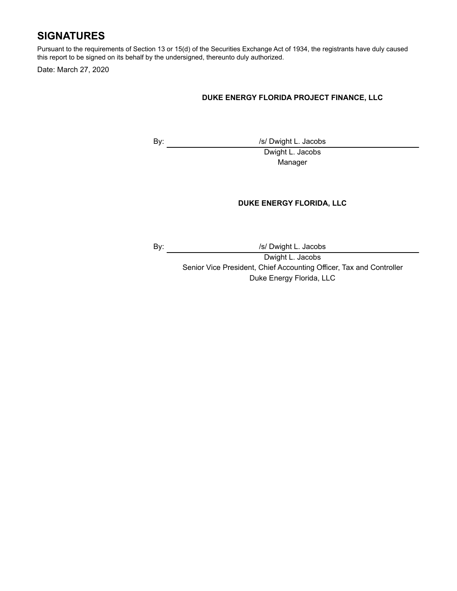# **SIGNATURES**

Pursuant to the requirements of Section 13 or 15(d) of the Securities Exchange Act of 1934, the registrants have duly caused this report to be signed on its behalf by the undersigned, thereunto duly authorized.

Date: March 27, 2020

### **DUKE ENERGY FLORIDA PROJECT FINANCE, LLC**

By: /s/ Dwight L. Jacobs Dwight L. Jacobs

Manager

### **DUKE ENERGY FLORIDA, LLC**

By:  $\sqrt{s}$  /s/ Dwight L. Jacobs

Dwight L. Jacobs

Senior Vice President, Chief Accounting Officer, Tax and Controller Duke Energy Florida, LLC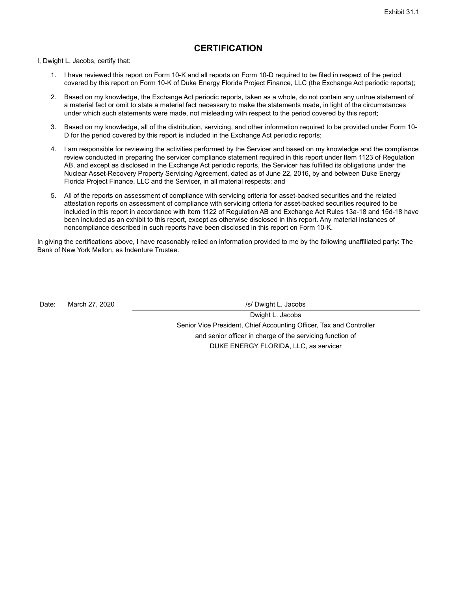### **CERTIFICATION**

I, Dwight L. Jacobs, certify that:

- 1. I have reviewed this report on Form 10-K and all reports on Form 10-D required to be filed in respect of the period covered by this report on Form 10-K of Duke Energy Florida Project Finance, LLC (the Exchange Act periodic reports);
- 2. Based on my knowledge, the Exchange Act periodic reports, taken as a whole, do not contain any untrue statement of a material fact or omit to state a material fact necessary to make the statements made, in light of the circumstances under which such statements were made, not misleading with respect to the period covered by this report;
- 3. Based on my knowledge, all of the distribution, servicing, and other information required to be provided under Form 10- D for the period covered by this report is included in the Exchange Act periodic reports;
- 4. I am responsible for reviewing the activities performed by the Servicer and based on my knowledge and the compliance review conducted in preparing the servicer compliance statement required in this report under Item 1123 of Regulation AB, and except as disclosed in the Exchange Act periodic reports, the Servicer has fulfilled its obligations under the Nuclear Asset-Recovery Property Servicing Agreement, dated as of June 22, 2016, by and between Duke Energy Florida Project Finance, LLC and the Servicer, in all material respects; and
- 5. All of the reports on assessment of compliance with servicing criteria for asset-backed securities and the related attestation reports on assessment of compliance with servicing criteria for asset-backed securities required to be included in this report in accordance with Item 1122 of Regulation AB and Exchange Act Rules 13a-18 and 15d-18 have been included as an exhibit to this report, except as otherwise disclosed in this report. Any material instances of noncompliance described in such reports have been disclosed in this report on Form 10-K.

In giving the certifications above, I have reasonably relied on information provided to me by the following unaffiliated party: The Bank of New York Mellon, as Indenture Trustee.

Date: March 27, 2020 **/s/** Date: March 27, 2020

Dwight L. Jacobs Senior Vice President, Chief Accounting Officer, Tax and Controller and senior officer in charge of the servicing function of DUKE ENERGY FLORIDA, LLC, as servicer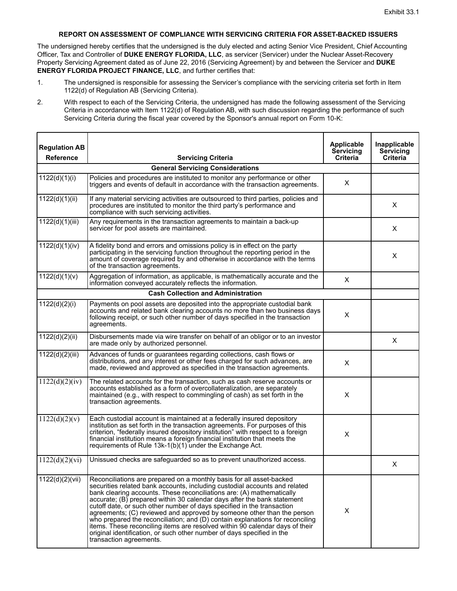### **REPORT ON ASSESSMENT OF COMPLIANCE WITH SERVICING CRITERIA FOR ASSET-BACKED ISSUERS**

The undersigned hereby certifies that the undersigned is the duly elected and acting Senior Vice President, Chief Accounting Officer, Tax and Controller of **DUKE ENERGY FLORIDA, LLC**, as servicer (Servicer) under the Nuclear Asset-Recovery Property Servicing Agreement dated as of June 22, 2016 (Servicing Agreement) by and between the Servicer and **DUKE ENERGY FLORIDA PROJECT FINANCE, LLC**, and further certifies that:

- 1. The undersigned is responsible for assessing the Servicer's compliance with the servicing criteria set forth in Item 1122(d) of Regulation AB (Servicing Criteria).
- 2. With respect to each of the Servicing Criteria, the undersigned has made the following assessment of the Servicing Criteria in accordance with Item 1122(d) of Regulation AB, with such discussion regarding the performance of such Servicing Criteria during the fiscal year covered by the Sponsor's annual report on Form 10-K:

| <b>Regulation AB</b><br><b>Reference</b> | <b>Servicing Criteria</b>                                                                                                                                                                                                                                                                                                                                                                                                                                                                                                                                                                                                                                                                                                        | Applicable<br>Servicing<br><b>Criteria</b> | <b>Inapplicable</b><br>Servicing<br>Criteria |
|------------------------------------------|----------------------------------------------------------------------------------------------------------------------------------------------------------------------------------------------------------------------------------------------------------------------------------------------------------------------------------------------------------------------------------------------------------------------------------------------------------------------------------------------------------------------------------------------------------------------------------------------------------------------------------------------------------------------------------------------------------------------------------|--------------------------------------------|----------------------------------------------|
|                                          | <b>General Servicing Considerations</b>                                                                                                                                                                                                                                                                                                                                                                                                                                                                                                                                                                                                                                                                                          |                                            |                                              |
| 1122(d)(1)(i)                            | Policies and procedures are instituted to monitor any performance or other<br>triggers and events of default in accordance with the transaction agreements.                                                                                                                                                                                                                                                                                                                                                                                                                                                                                                                                                                      | X                                          |                                              |
| 1122(d)(1)(ii)                           | If any material servicing activities are outsourced to third parties, policies and<br>procedures are instituted to monitor the third party's performance and<br>compliance with such servicing activities.                                                                                                                                                                                                                                                                                                                                                                                                                                                                                                                       |                                            | X                                            |
| 1122(d)(1)(iii)                          | Any requirements in the transaction agreements to maintain a back-up<br>servicer for pool assets are maintained.                                                                                                                                                                                                                                                                                                                                                                                                                                                                                                                                                                                                                 |                                            | Х                                            |
| 1122(d)(1)(iv)                           | A fidelity bond and errors and omissions policy is in effect on the party<br>participating in the servicing function throughout the reporting period in the<br>amount of coverage required by and otherwise in accordance with the terms<br>of the transaction agreements.                                                                                                                                                                                                                                                                                                                                                                                                                                                       |                                            | X                                            |
| 1122(d)(1)(v)                            | Aggregation of information, as applicable, is mathematically accurate and the<br>information conveyed accurately reflects the information.                                                                                                                                                                                                                                                                                                                                                                                                                                                                                                                                                                                       | X                                          |                                              |
|                                          | <b>Cash Collection and Administration</b>                                                                                                                                                                                                                                                                                                                                                                                                                                                                                                                                                                                                                                                                                        |                                            |                                              |
| 1122(d)(2)(i)                            | Payments on pool assets are deposited into the appropriate custodial bank<br>accounts and related bank clearing accounts no more than two business days<br>following receipt, or such other number of days specified in the transaction<br>agreements.                                                                                                                                                                                                                                                                                                                                                                                                                                                                           | X                                          |                                              |
| 1122(d)(2)(ii)                           | Disbursements made via wire transfer on behalf of an obligor or to an investor<br>are made only by authorized personnel.                                                                                                                                                                                                                                                                                                                                                                                                                                                                                                                                                                                                         |                                            | X                                            |
| 1122(d)(2)(iii)                          | Advances of funds or guarantees regarding collections, cash flows or<br>distributions, and any interest or other fees charged for such advances, are<br>made, reviewed and approved as specified in the transaction agreements.                                                                                                                                                                                                                                                                                                                                                                                                                                                                                                  | X                                          |                                              |
| 1122(d)(2)(iv)                           | The related accounts for the transaction, such as cash reserve accounts or<br>accounts established as a form of overcollateralization, are separately<br>maintained (e.g., with respect to commingling of cash) as set forth in the<br>transaction agreements.                                                                                                                                                                                                                                                                                                                                                                                                                                                                   | X                                          |                                              |
| 1122(d)(2)(v)                            | Each custodial account is maintained at a federally insured depository<br>institution as set forth in the transaction agreements. For purposes of this<br>criterion, "federally insured depository institution" with respect to a foreign<br>financial institution means a foreign financial institution that meets the<br>requirements of Rule 13k-1(b)(1) under the Exchange Act.                                                                                                                                                                                                                                                                                                                                              | X                                          |                                              |
| 1122(d)(2)(vi)                           | Unissued checks are safeguarded so as to prevent unauthorized access.                                                                                                                                                                                                                                                                                                                                                                                                                                                                                                                                                                                                                                                            |                                            | X                                            |
| 1122(d)(2)(vii)                          | Reconciliations are prepared on a monthly basis for all asset-backed<br>securities related bank accounts, including custodial accounts and related<br>bank clearing accounts. These reconciliations are: (A) mathematically<br>accurate; (B) prepared within 30 calendar days after the bank statement<br>cutoff date, or such other number of days specified in the transaction<br>agreements; (C) reviewed and approved by someone other than the person<br>who prepared the reconciliation; and (D) contain explanations for reconciling<br>items. These reconciling items are resolved within 90 calendar days of their<br>original identification, or such other number of days specified in the<br>transaction agreements. | X                                          |                                              |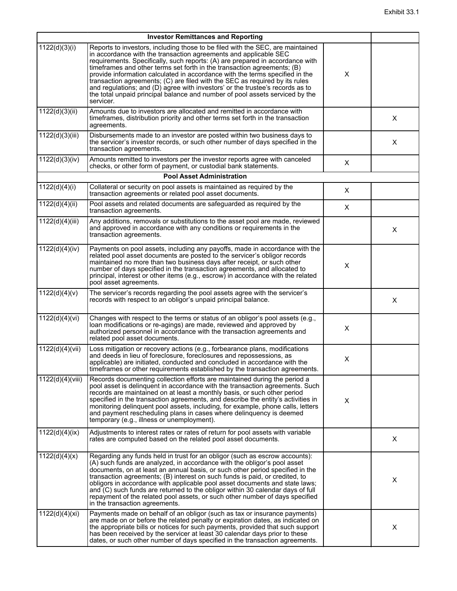|                  | <b>Investor Remittances and Reporting</b>                                                                                                                                                                                                                                                                                                                                                                                                                                                                                                                                                                                                                   |   |   |
|------------------|-------------------------------------------------------------------------------------------------------------------------------------------------------------------------------------------------------------------------------------------------------------------------------------------------------------------------------------------------------------------------------------------------------------------------------------------------------------------------------------------------------------------------------------------------------------------------------------------------------------------------------------------------------------|---|---|
| 1122(d)(3)(i)    | Reports to investors, including those to be filed with the SEC, are maintained<br>in accordance with the transaction agreements and applicable SEC<br>requirements. Specifically, such reports: (A) are prepared in accordance with<br>timeframes and other terms set forth in the transaction agreements; (B)<br>provide information calculated in accordance with the terms specified in the<br>transaction agreements; (C) are filed with the SEC as required by its rules<br>and regulations; and (D) agree with investors' or the trustee's records as to<br>the total unpaid principal balance and number of pool assets serviced by the<br>servicer. | X |   |
| 1122(d)(3)(ii)   | Amounts due to investors are allocated and remitted in accordance with<br>timeframes, distribution priority and other terms set forth in the transaction<br>agreements.                                                                                                                                                                                                                                                                                                                                                                                                                                                                                     |   | X |
| 1122(d)(3)(iii)  | Disbursements made to an investor are posted within two business days to<br>the servicer's investor records, or such other number of days specified in the<br>transaction agreements.                                                                                                                                                                                                                                                                                                                                                                                                                                                                       |   | Χ |
| 1122(d)(3)(iv)   | Amounts remitted to investors per the investor reports agree with canceled<br>checks, or other form of payment, or custodial bank statements.                                                                                                                                                                                                                                                                                                                                                                                                                                                                                                               | Χ |   |
|                  | <b>Pool Asset Administration</b>                                                                                                                                                                                                                                                                                                                                                                                                                                                                                                                                                                                                                            |   |   |
| 1122(d)(4)(i)    | Collateral or security on pool assets is maintained as required by the<br>transaction agreements or related pool asset documents.                                                                                                                                                                                                                                                                                                                                                                                                                                                                                                                           | X |   |
| 1122(d)(4)(ii)   | Pool assets and related documents are safeguarded as required by the<br>transaction agreements.                                                                                                                                                                                                                                                                                                                                                                                                                                                                                                                                                             | Χ |   |
| 1122(d)(4)(iii)  | Any additions, removals or substitutions to the asset pool are made, reviewed<br>and approved in accordance with any conditions or requirements in the<br>transaction agreements.                                                                                                                                                                                                                                                                                                                                                                                                                                                                           |   | Χ |
| 1122(d)(4)(iv)   | Payments on pool assets, including any payoffs, made in accordance with the<br>related pool asset documents are posted to the servicer's obligor records<br>maintained no more than two business days after receipt, or such other<br>number of days specified in the transaction agreements, and allocated to<br>principal, interest or other items (e.g., escrow) in accordance with the related<br>pool asset agreements.                                                                                                                                                                                                                                | X |   |
| 1122(d)(4)(v)    | The servicer's records regarding the pool assets agree with the servicer's<br>records with respect to an obligor's unpaid principal balance.                                                                                                                                                                                                                                                                                                                                                                                                                                                                                                                |   | Χ |
| 1122(d)(4)(vi)   | Changes with respect to the terms or status of an obligor's pool assets (e.g.,<br>loan modifications or re-agings) are made, reviewed and approved by<br>authorized personnel in accordance with the transaction agreements and<br>related pool asset documents.                                                                                                                                                                                                                                                                                                                                                                                            | X |   |
| 1122(d)(4)(vii)  | Loss mitigation or recovery actions (e.g., forbearance plans, modifications<br>and deeds in lieu of foreclosure, foreclosures and repossessions, as<br>applicable) are initiated, conducted and concluded in accordance with the<br>timeframes or other requirements established by the transaction agreements.                                                                                                                                                                                                                                                                                                                                             | X |   |
| 1122(d)(4)(viii) | Records documenting collection efforts are maintained during the period a<br>pool asset is delinguent in accordance with the transaction agreements. Such<br>records are maintained on at least a monthly basis, or such other period<br>specified in the transaction agreements, and describe the entity's activities in<br>monitoring delinquent pool assets, including, for example, phone calls, letters<br>and payment rescheduling plans in cases where delinquency is deemed<br>temporary (e.g., illness or unemployment).                                                                                                                           | X |   |
| 1122(d)(4)(ix)   | Adjustments to interest rates or rates of return for pool assets with variable<br>rates are computed based on the related pool asset documents.                                                                                                                                                                                                                                                                                                                                                                                                                                                                                                             |   | Χ |
| 1122(d)(4)(x)    | Regarding any funds held in trust for an obligor (such as escrow accounts):<br>(A) such funds are analyzed, in accordance with the obligor's pool asset<br>documents, on at least an annual basis, or such other period specified in the<br>transaction agreements; (B) interest on such funds is paid, or credited, to<br>obligors in accordance with applicable pool asset documents and state laws;<br>and (C) such funds are returned to the obligor within 30 calendar days of full<br>repayment of the related pool assets, or such other number of days specified<br>in the transaction agreements.                                                  |   | Χ |
| 1122(d)(4)(xi)   | Payments made on behalf of an obligor (such as tax or insurance payments)<br>are made on or before the related penalty or expiration dates, as indicated on<br>the appropriate bills or notices for such payments, provided that such support<br>has been received by the servicer at least 30 calendar days prior to these<br>dates, or such other number of days specified in the transaction agreements.                                                                                                                                                                                                                                                 |   | Х |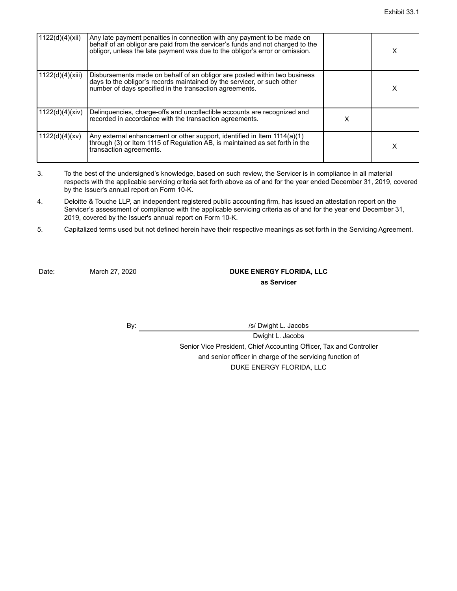| 1122(d)(4)(xii)  | Any late payment penalties in connection with any payment to be made on<br>behalf of an obligor are paid from the servicer's funds and not charged to the<br>obligor, unless the late payment was due to the obligor's error or omission. |   |  |
|------------------|-------------------------------------------------------------------------------------------------------------------------------------------------------------------------------------------------------------------------------------------|---|--|
| 1122(d)(4)(xiii) | Disbursements made on behalf of an obligor are posted within two business<br>days to the obligor's records maintained by the servicer, or such other<br>number of days specified in the transaction agreements.                           |   |  |
| 1122(d)(4)(xiv)  | Delinquencies, charge-offs and uncollectible accounts are recognized and<br>recorded in accordance with the transaction agreements.                                                                                                       | х |  |
| 1122(d)(4)(xv)   | Any external enhancement or other support, identified in Item 1114(a)(1)<br>$\frac{1}{2}$ through (3) or Item 1115 of Regulation AB, is maintained as set forth in the<br>transaction agreements.                                         |   |  |

- 3. To the best of the undersigned's knowledge, based on such review, the Servicer is in compliance in all material respects with the applicable servicing criteria set forth above as of and for the year ended December 31, 2019, covered by the Issuer's annual report on Form 10-K.
- 4. Deloitte & Touche LLP, an independent registered public accounting firm, has issued an attestation report on the Servicer's assessment of compliance with the applicable servicing criteria as of and for the year end December 31, 2019, covered by the Issuer's annual report on Form 10-K.
- 5. Capitalized terms used but not defined herein have their respective meanings as set forth in the Servicing Agreement.

Date: March 27, 2020 **DUKE ENERGY FLORIDA, LLC as Servicer**

By: //s/ Dwight L. Jacobs

Dwight L. Jacobs Senior Vice President, Chief Accounting Officer, Tax and Controller and senior officer in charge of the servicing function of DUKE ENERGY FLORIDA, LLC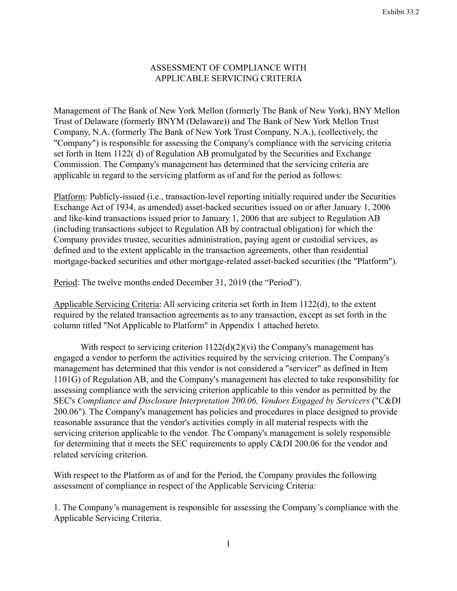## ASSESSMENT OF COMPLIANCE WITH APPLICABLE SERVICING CRITERIA

Management of The Bank of New York Mellon (formerly The Bank of New York), BNY Mellon Trust of Delaware (formerly BNYM (Delaware)) and The Bank of New York Mellon Trust Company, N.A. (formerly The Bank of New York Trust Company, N.A.), (collectively, the "Company") is responsible for assessing the Company's compliance with the servicing criteria set forth in Item 1122( d) of Regulation AB promulgated by the Securities and Exchange Commission. The Company's management has determined that the servicing criteria are applicable in regard to the servicing platform as of and for the period as follows:

Platform: Publicly-issued (i.e., transaction-level reporting initially required under the Securities Exchange Act of 1934, as amended) asset-backed securities issued on or after January 1, 2006 and like-kind transactions issued prior to January 1, 2006 that are subject to Regulation AB (including transactions subject to Regulation AB by contractual obligation) for which the Company provides trustee, securities administration, paying agent or custodial services, as defined and to the extent applicable in the transaction agreements, other than residential mortgage-backed securities and other mortgage-related asset-backed securities (the "Platform").

Period: The twelve months ended December 31, 2019 (the "Period").

Applicable Servicing Criteria: All servicing criteria set forth in Item 1122(d), to the extent required by the related transaction agreements as to any transaction, except as set forth in the column titled "Not Applicable to Platform" in Appendix 1 attached hereto.

With respect to servicing criterion  $1122(d)(2)(vi)$  the Company's management has engaged a vendor to perform the activities required by the servicing criterion. The Company's management has determined that this vendor is not considered a "servicer" as defined in Item 1101G) of Regulation AB, and the Company's management has elected to take responsibility for assessing compliance with the servicing criterion applicable to this vendor as permitted by the SEC's *Compliance and Disclosure Interpretation 200.06, Vendors Engaged by Servicers* ("C&DI 200.06"). The Company's management has policies and procedures in place designed to provide reasonable assurance that the vendor's activities comply in all material respects with the servicing criterion applicable to the vendor. The Company's management is solely responsible for determining that it meets the SEC requirements to apply C&DI 200.06 for the vendor and related servicing criterion.

With respect to the Platform as of and for the Period, the Company provides the following assessment of compliance in respect of the Applicable Servicing Criteria:

1. The Company's management is responsible for assessing the Company's compliance with the Applicable Servicing Criteria.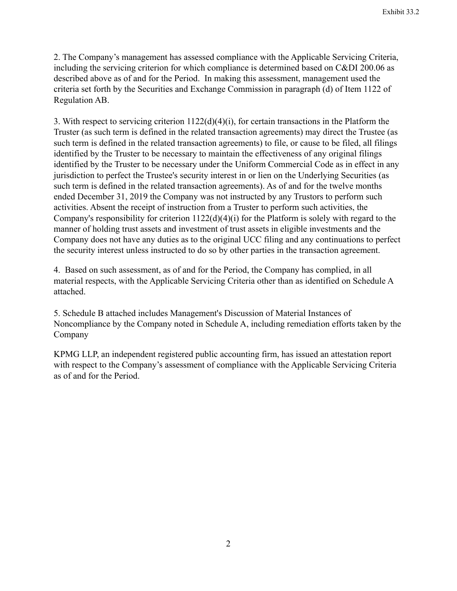2. The Company's management has assessed compliance with the Applicable Servicing Criteria, including the servicing criterion for which compliance is determined based on C&DI 200.06 as described above as of and for the Period. In making this assessment, management used the criteria set forth by the Securities and Exchange Commission in paragraph (d) of Item 1122 of Regulation AB.

3. With respect to servicing criterion 1122(d)(4)(i), for certain transactions in the Platform the Truster (as such term is defined in the related transaction agreements) may direct the Trustee (as such term is defined in the related transaction agreements) to file, or cause to be filed, all filings identified by the Truster to be necessary to maintain the effectiveness of any original filings identified by the Truster to be necessary under the Uniform Commercial Code as in effect in any jurisdiction to perfect the Trustee's security interest in or lien on the Underlying Securities (as such term is defined in the related transaction agreements). As of and for the twelve months ended December 31, 2019 the Company was not instructed by any Trustors to perform such activities. Absent the receipt of instruction from a Truster to perform such activities, the Company's responsibility for criterion 1122(d)(4)(i) for the Platform is solely with regard to the manner of holding trust assets and investment of trust assets in eligible investments and the Company does not have any duties as to the original UCC filing and any continuations to perfect the security interest unless instructed to do so by other parties in the transaction agreement.

4. Based on such assessment, as of and for the Period, the Company has complied, in all material respects, with the Applicable Servicing Criteria other than as identified on Schedule A attached.

5. Schedule B attached includes Management's Discussion of Material Instances of Noncompliance by the Company noted in Schedule A, including remediation efforts taken by the Company

KPMG LLP, an independent registered public accounting firm, has issued an attestation report with respect to the Company's assessment of compliance with the Applicable Servicing Criteria as of and for the Period.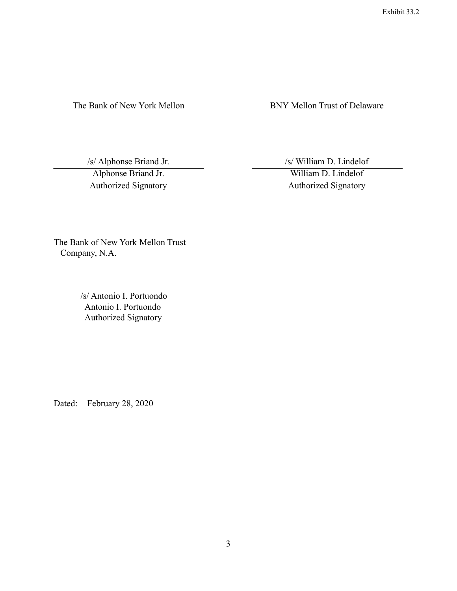The Bank of New York Mellon BNY Mellon Trust of Delaware

Authorized Signatory Authorized Signatory

/s/ Alphonse Briand Jr. /s/ William D. Lindelof

Alphonse Briand Jr. William D. Lindelof

The Bank of New York Mellon Trust Company, N.A.

/s/ Antonio I. Portuondo

 Antonio I. Portuondo Authorized Signatory

Dated: February 28, 2020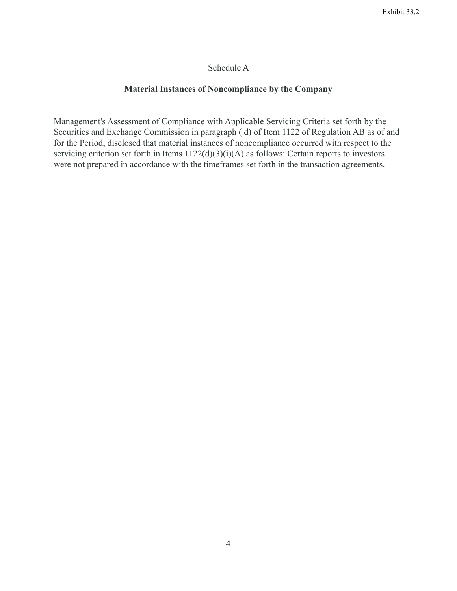# Schedule A

# **Material Instances of Noncompliance by the Company**

Management's Assessment of Compliance with Applicable Servicing Criteria set forth by the Securities and Exchange Commission in paragraph ( d) of Item 1122 of Regulation AB as of and for the Period, disclosed that material instances of noncompliance occurred with respect to the servicing criterion set forth in Items  $1122(d)(3)(i)(A)$  as follows: Certain reports to investors were not prepared in accordance with the timeframes set forth in the transaction agreements.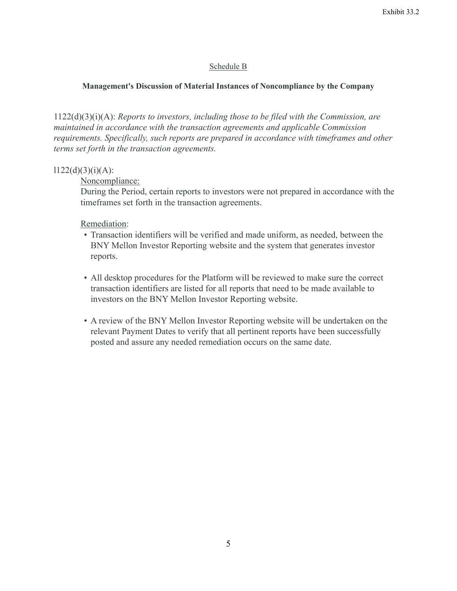## Schedule B

## **Management's Discussion of Material Instances of Noncompliance by the Company**

1122(d)(3)(i)(A): *Reports to investors, including those to be filed with the Commission, are maintained in accordance with the transaction agreements and applicable Commission requirements. Specifically, such reports are prepared in accordance with timeframes and other terms set forth in the transaction agreements.*

## $1122(d)(3)(i)(A)$ :

Noncompliance:

During the Period, certain reports to investors were not prepared in accordance with the timeframes set forth in the transaction agreements.

Remediation:

- Transaction identifiers will be verified and made uniform, as needed, between the BNY Mellon Investor Reporting website and the system that generates investor reports.
- All desktop procedures for the Platform will be reviewed to make sure the correct transaction identifiers are listed for all reports that need to be made available to investors on the BNY Mellon Investor Reporting website.
- A review of the BNY Mellon Investor Reporting website will be undertaken on the relevant Payment Dates to verify that all pertinent reports have been successfully posted and assure any needed remediation occurs on the same date.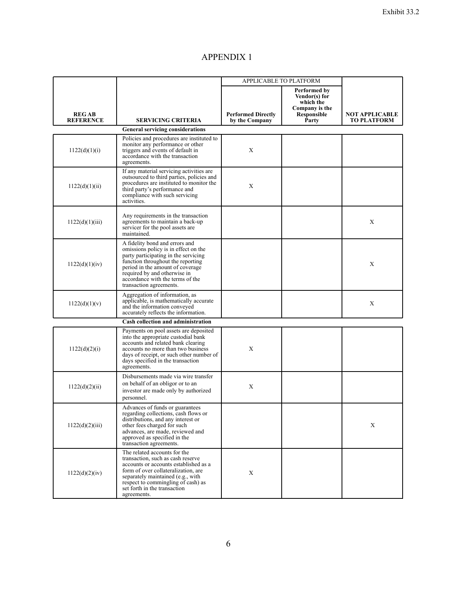# APPENDIX 1

|                                  |                                                                                                                                                                                                                                                                                        | APPLICABLE TO PLATFORM                      |                                                                                      |                                      |
|----------------------------------|----------------------------------------------------------------------------------------------------------------------------------------------------------------------------------------------------------------------------------------------------------------------------------------|---------------------------------------------|--------------------------------------------------------------------------------------|--------------------------------------|
| <b>REGAB</b><br><b>REFERENCE</b> | <b>SERVICING CRITERIA</b>                                                                                                                                                                                                                                                              | <b>Performed Directly</b><br>by the Company | Performed by<br>Vendor(s) for<br>which the<br>Company is the<br>Responsible<br>Party | NOT APPLICABLE<br><b>TO PLATFORM</b> |
|                                  | <b>General servicing considerations</b>                                                                                                                                                                                                                                                |                                             |                                                                                      |                                      |
| 1122(d)(1)(i)                    | Policies and procedures are instituted to<br>monitor any performance or other<br>triggers and events of default in<br>accordance with the transaction<br>agreements.                                                                                                                   | X                                           |                                                                                      |                                      |
| 1122(d)(1)(ii)                   | If any material servicing activities are<br>outsourced to third parties, policies and<br>procedures are instituted to monitor the<br>third party's performance and<br>compliance with such servicing<br>activities.                                                                    | Х                                           |                                                                                      |                                      |
| 1122(d)(1)(iii)                  | Any requirements in the transaction<br>agreements to maintain a back-up<br>servicer for the pool assets are<br>maintained.                                                                                                                                                             |                                             |                                                                                      | X                                    |
| 1122(d)(1)(iv)                   | A fidelity bond and errors and<br>omissions policy is in effect on the<br>party participating in the servicing<br>function throughout the reporting<br>period in the amount of coverage<br>required by and otherwise in<br>accordance with the terms of the<br>transaction agreements. |                                             |                                                                                      | X                                    |
| 1122(d)(1)(v)                    | Aggregation of information, as<br>applicable, is mathematically accurate<br>and the information conveyed<br>accurately reflects the information.                                                                                                                                       |                                             |                                                                                      | X                                    |
|                                  | <b>Cash collection and administration</b>                                                                                                                                                                                                                                              |                                             |                                                                                      |                                      |
| 1122(d)(2)(i)                    | Payments on pool assets are deposited<br>into the appropriate custodial bank<br>accounts and related bank clearing<br>accounts no more than two business<br>days of receipt, or such other number of<br>days specified in the transaction<br>agreements.                               | X                                           |                                                                                      |                                      |
| 1122(d)(2)(ii)                   | Disbursements made via wire transfer<br>on behalf of an obligor or to an<br>investor are made only by authorized<br>personnel.                                                                                                                                                         | X                                           |                                                                                      |                                      |
| 1122(d)(2)(iii)                  | Advances of funds or guarantees<br>regarding collections, cash flows or<br>distributions, and any interest or<br>other fees charged for such<br>advances, are made, reviewed and<br>approved as specified in the<br>transaction agreements.                                            |                                             |                                                                                      | X                                    |
| 1122(d)(2)(iv)                   | The related accounts for the<br>transaction, such as eash reserve<br>accounts or accounts established as a<br>form of over collateralization, are<br>separately maintained (e.g., with<br>respect to commingling of cash) as<br>set forth in the transaction<br>agreements.            | X                                           |                                                                                      |                                      |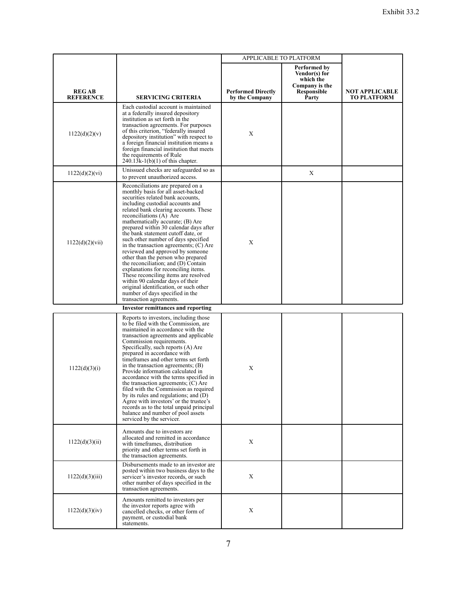|                                  |                                                                                                                                                                                                                                                                                                                                                                                                                                                                                                                                                                                                                                                                                                                                                                       | APPLICABLE TO PLATFORM                      |                                                                                      |                                      |
|----------------------------------|-----------------------------------------------------------------------------------------------------------------------------------------------------------------------------------------------------------------------------------------------------------------------------------------------------------------------------------------------------------------------------------------------------------------------------------------------------------------------------------------------------------------------------------------------------------------------------------------------------------------------------------------------------------------------------------------------------------------------------------------------------------------------|---------------------------------------------|--------------------------------------------------------------------------------------|--------------------------------------|
| <b>REGAB</b><br><b>REFERENCE</b> | <b>SERVICING CRITERIA</b>                                                                                                                                                                                                                                                                                                                                                                                                                                                                                                                                                                                                                                                                                                                                             | <b>Performed Directly</b><br>by the Company | Performed by<br>Vendor(s) for<br>which the<br>Company is the<br>Responsible<br>Party | NOT APPLICABLE<br><b>TO PLATFORM</b> |
| 1122(d)(2)(v)                    | Each custodial account is maintained<br>at a federally insured depository<br>institution as set forth in the<br>transaction agreements. For purposes<br>of this criterion, "federally insured<br>depository institution" with respect to<br>a foreign financial institution means a<br>foreign financial institution that meets<br>the requirements of Rule<br>$240.13k-1(b)(1)$ of this chapter.                                                                                                                                                                                                                                                                                                                                                                     | X                                           |                                                                                      |                                      |
| 1122(d)(2)(vi)                   | Unissued checks are safeguarded so as<br>to prevent unauthorized access.                                                                                                                                                                                                                                                                                                                                                                                                                                                                                                                                                                                                                                                                                              |                                             | $\mathbf X$                                                                          |                                      |
| 1122(d)(2)(vii)                  | Reconciliations are prepared on a<br>monthly basis for all asset-backed<br>securities related bank accounts,<br>including custodial accounts and<br>related bank clearing accounts. These<br>reconciliations (A) Are<br>mathematically accurate; (B) Are<br>prepared within 30 calendar days after<br>the bank statement cutoff date, or<br>such other number of days specified<br>in the transaction agreements; (C) Are<br>reviewed and approved by someone<br>other than the person who prepared<br>the reconciliation; and (D) Contain<br>explanations for reconciling items.<br>These reconciling items are resolved<br>within 90 calendar days of their<br>original identification, or such other<br>number of days specified in the<br>transaction agreements. | X                                           |                                                                                      |                                      |
|                                  | <b>Investor remittances and reporting</b>                                                                                                                                                                                                                                                                                                                                                                                                                                                                                                                                                                                                                                                                                                                             |                                             |                                                                                      |                                      |
| 1122(d)(3)(i)                    | Reports to investors, including those<br>to be filed with the Commission, are<br>maintained in accordance with the<br>transaction agreements and applicable<br>Commission requirements.<br>Specifically, such reports (A) Are<br>prepared in accordance with<br>timeframes and other terms set forth<br>in the transaction agreements; (B)<br>Provide information calculated in<br>accordance with the terms specified in<br>the transaction agreements; $(C)$ Are<br>filed with the Commission as required<br>by its rules and regulations; and $(D)$<br>Agree with investors' or the trustee's<br>records as to the total unpaid principal<br>balance and number of pool assets<br>serviced by the servicer.                                                        | $\mathbf X$                                 |                                                                                      |                                      |
| 1122(d)(3)(ii)                   | Amounts due to investors are<br>allocated and remitted in accordance<br>with timeframes, distribution<br>priority and other terms set forth in<br>the transaction agreements.                                                                                                                                                                                                                                                                                                                                                                                                                                                                                                                                                                                         | X                                           |                                                                                      |                                      |
| 1122(d)(3)(iii)                  | Disbursements made to an investor are<br>posted within two business days to the<br>servicer's investor records, or such<br>other number of days specified in the<br>transaction agreements.                                                                                                                                                                                                                                                                                                                                                                                                                                                                                                                                                                           | X                                           |                                                                                      |                                      |
| 1122(d)(3)(iv)                   | Amounts remitted to investors per<br>the investor reports agree with<br>cancelled checks, or other form of<br>payment, or custodial bank<br>statements.                                                                                                                                                                                                                                                                                                                                                                                                                                                                                                                                                                                                               | X                                           |                                                                                      |                                      |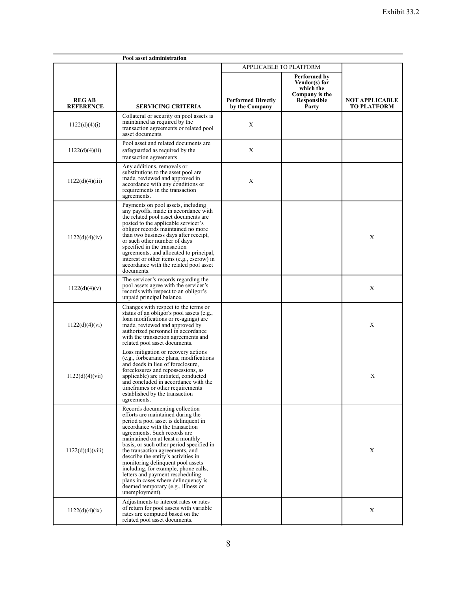| Pool asset administration        |                                                                                                                                                                                                                                                                                                                                                                                                                                                                                                                                                          |                                             |                                                                                      |                                             |
|----------------------------------|----------------------------------------------------------------------------------------------------------------------------------------------------------------------------------------------------------------------------------------------------------------------------------------------------------------------------------------------------------------------------------------------------------------------------------------------------------------------------------------------------------------------------------------------------------|---------------------------------------------|--------------------------------------------------------------------------------------|---------------------------------------------|
|                                  |                                                                                                                                                                                                                                                                                                                                                                                                                                                                                                                                                          | APPLICABLE TO PLATFORM                      |                                                                                      |                                             |
| <b>REGAB</b><br><b>REFERENCE</b> | <b>SERVICING CRITERIA</b>                                                                                                                                                                                                                                                                                                                                                                                                                                                                                                                                | <b>Performed Directly</b><br>by the Company | Performed by<br>Vendor(s) for<br>which the<br>Company is the<br>Responsible<br>Party | <b>NOT APPLICABLE</b><br><b>TO PLATFORM</b> |
| 1122(d)(4)(i)                    | Collateral or security on pool assets is<br>maintained as required by the<br>transaction agreements or related pool<br>asset documents.                                                                                                                                                                                                                                                                                                                                                                                                                  | X                                           |                                                                                      |                                             |
| 1122(d)(4)(ii)                   | Pool asset and related documents are<br>safeguarded as required by the<br>transaction agreements                                                                                                                                                                                                                                                                                                                                                                                                                                                         | X                                           |                                                                                      |                                             |
| 1122(d)(4)(iii)                  | Any additions, removals or<br>substitutions to the asset pool are<br>made, reviewed and approved in<br>accordance with any conditions or<br>requirements in the transaction<br>agreements.                                                                                                                                                                                                                                                                                                                                                               | X                                           |                                                                                      |                                             |
| 1122(d)(4)(iv)                   | Payments on pool assets, including<br>any payoffs, made in accordance with<br>the related pool asset documents are<br>posted to the applicable servicer's<br>obligor records maintained no more<br>than two business days after receipt,<br>or such other number of days<br>specified in the transaction<br>agreements, and allocated to principal,<br>interest or other items (e.g., escrow) in<br>accordance with the related pool asset<br>documents.                                                                                                 |                                             |                                                                                      | X                                           |
| 1122(d)(4)(v)                    | The servicer's records regarding the<br>pool assets agree with the servicer's<br>records with respect to an obligor's<br>unpaid principal balance.                                                                                                                                                                                                                                                                                                                                                                                                       |                                             |                                                                                      | X                                           |
| 1122(d)(4)(vi)                   | Changes with respect to the terms or<br>status of an obligor's pool assets (e.g.,<br>loan modifications or re-agings) are<br>made, reviewed and approved by<br>authorized personnel in accordance<br>with the transaction agreements and<br>related pool asset documents.                                                                                                                                                                                                                                                                                |                                             |                                                                                      | X                                           |
| 1122(d)(4)(vii)                  | Loss mitigation or recovery actions<br>(e.g., forbearance plans, modifications<br>and deeds in lieu of foreclosure,<br>foreclosures and repossessions, as<br>applicable) are initiated, conducted<br>and concluded in accordance with the<br>time frames or other requirements<br>established by the transaction<br>agreements.                                                                                                                                                                                                                          |                                             |                                                                                      | X                                           |
| 1122(d)(4)(viii)                 | Records documenting collection<br>efforts are maintained during the<br>period a pool asset is delinquent in<br>accordance with the transaction<br>agreements. Such records are<br>maintained on at least a monthly<br>basis, or such other period specified in<br>the transaction agreements, and<br>describe the entity's activities in<br>monitoring delinquent pool assets<br>including, for example, phone calls,<br>letters and payment rescheduling<br>plans in cases where delinquency is<br>deemed temporary (e.g., illness or<br>unemployment). |                                             |                                                                                      | $\mathbf X$                                 |
| 1122(d)(4)(ix)                   | Adjustments to interest rates or rates<br>of return for pool assets with variable<br>rates are computed based on the<br>related pool asset documents.                                                                                                                                                                                                                                                                                                                                                                                                    |                                             |                                                                                      | X                                           |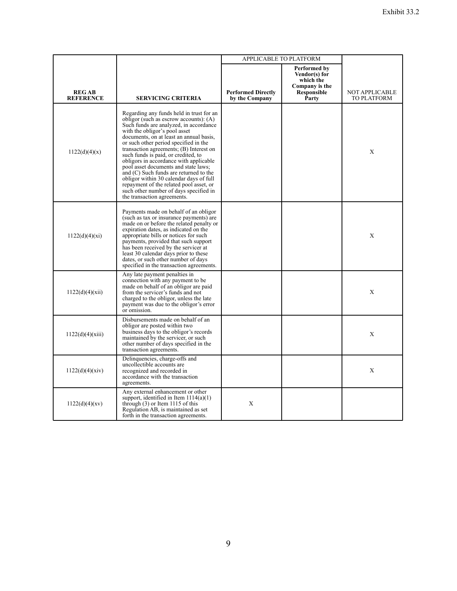|                                  |                                                                                                                                                                                                                                                                                                                                                                                                                                                                                                                                                                                                                                  | APPLICABLE TO PLATFORM                      |                                                                                      |                                             |
|----------------------------------|----------------------------------------------------------------------------------------------------------------------------------------------------------------------------------------------------------------------------------------------------------------------------------------------------------------------------------------------------------------------------------------------------------------------------------------------------------------------------------------------------------------------------------------------------------------------------------------------------------------------------------|---------------------------------------------|--------------------------------------------------------------------------------------|---------------------------------------------|
| <b>REGAB</b><br><b>REFERENCE</b> | SERVICING CRITERIA                                                                                                                                                                                                                                                                                                                                                                                                                                                                                                                                                                                                               | <b>Performed Directly</b><br>by the Company | Performed by<br>Vendor(s) for<br>which the<br>Company is the<br>Responsible<br>Party | <b>NOT APPLICABLE</b><br><b>TO PLATFORM</b> |
| 1122(d)(4)(x)                    | Regarding any funds held in trust for an<br>obligor (such as escrow accounts): $(A)$<br>Such funds are analyzed, in accordance<br>with the obligor's pool asset<br>documents, on at least an annual basis,<br>or such other period specified in the<br>transaction agreements; (B) Interest on<br>such funds is paid, or credited, to<br>obligors in accordance with applicable<br>pool asset documents and state laws;<br>and (C) Such funds are returned to the<br>obligor within 30 calendar days of full<br>repayment of the related pool asset, or<br>such other number of days specified in<br>the transaction agreements. |                                             |                                                                                      | X                                           |
| 1122(d)(4)(xi)                   | Payments made on behalf of an obligor<br>(such as tax or insurance payments) are<br>made on or before the related penalty or<br>expiration dates, as indicated on the<br>appropriate bills or notices for such<br>payments, provided that such support<br>has been received by the servicer at<br>least 30 calendar days prior to these<br>dates, or such other number of days<br>specified in the transaction agreements.                                                                                                                                                                                                       |                                             |                                                                                      | X                                           |
| 1122(d)(4)(xii)                  | Any late payment penalties in<br>connection with any payment to be<br>made on behalf of an obligor are paid<br>from the servicer's funds and not<br>charged to the obligor, unless the late<br>payment was due to the obligor's error<br>or omission.                                                                                                                                                                                                                                                                                                                                                                            |                                             |                                                                                      | X                                           |
| 1122(d)(4)(xiii)                 | Disbursements made on behalf of an<br>obligor are posted within two<br>business days to the obligor's records<br>maintained by the servicer, or such<br>other number of days specified in the<br>transaction agreements.                                                                                                                                                                                                                                                                                                                                                                                                         |                                             |                                                                                      | X                                           |
| 1122(d)(4)(xiv)                  | Delinquencies, charge-offs and<br>uncollectible accounts are<br>recognized and recorded in<br>accordance with the transaction<br>agreements.                                                                                                                                                                                                                                                                                                                                                                                                                                                                                     |                                             |                                                                                      | X                                           |
| 1122(d)(4)(xv)                   | Any external enhancement or other<br>support, identified in Item $1114(a)(1)$<br>through (3) or Item 1115 of this<br>Regulation AB, is maintained as set<br>forth in the transaction agreements.                                                                                                                                                                                                                                                                                                                                                                                                                                 | X                                           |                                                                                      |                                             |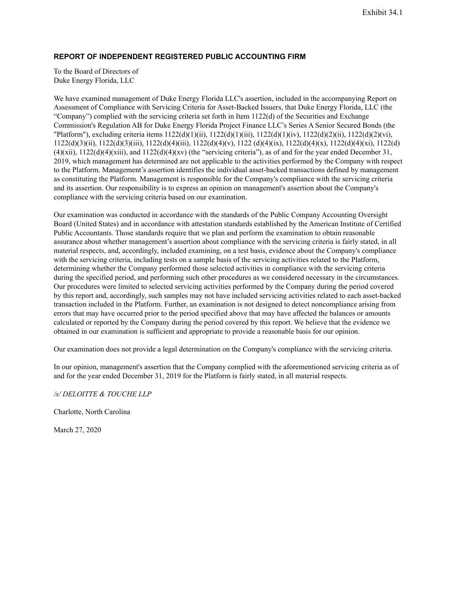### **REPORT OF INDEPENDENT REGISTERED PUBLIC ACCOUNTING FIRM**

To the Board of Directors of Duke Energy Florida, LLC

We have examined management of Duke Energy Florida LLC's assertion, included in the accompanying Report on Assessment of Compliance with Servicing Criteria for Asset-Backed Issuers, that Duke Energy Florida, LLC (the "Company") complied with the servicing criteria set forth in Item 1122(d) of the Securities and Exchange Commission's Regulation AB for Duke Energy Florida Project Finance LLC's Series A Senior Secured Bonds (the "Platform"), excluding criteria items 1122(d)(1)(ii), 1122(d)(1)(iii), 1122(d)(1)(iv), 1122(d)(2)(ii), 1122(d)(2)(vi), 1122(d)(3)(ii), 1122(d)(3)(iii), 1122(d)(4)(iii), 1122(d)(4)(v), 1122 (d)(4)(ix), 1122(d)(4)(x), 1122(d)(4)(xi), 1122(d)  $(4)(xii)$ ,  $1122(d)(4)(xiii)$ , and  $1122(d)(4)(xv)$  (the "servicing criteria"), as of and for the year ended December 31, 2019, which management has determined are not applicable to the activities performed by the Company with respect to the Platform. Management's assertion identifies the individual asset-backed transactions defined by management as constituting the Platform. Management is responsible for the Company's compliance with the servicing criteria and its assertion. Our responsibility is to express an opinion on management's assertion about the Company's compliance with the servicing criteria based on our examination.

Our examination was conducted in accordance with the standards of the Public Company Accounting Oversight Board (United States) and in accordance with attestation standards established by the American Institute of Certified Public Accountants. Those standards require that we plan and perform the examination to obtain reasonable assurance about whether management's assertion about compliance with the servicing criteria is fairly stated, in all material respects, and, accordingly, included examining, on a test basis, evidence about the Company's compliance with the servicing criteria, including tests on a sample basis of the servicing activities related to the Platform, determining whether the Company performed those selected activities in compliance with the servicing criteria during the specified period, and performing such other procedures as we considered necessary in the circumstances. Our procedures were limited to selected servicing activities performed by the Company during the period covered by this report and, accordingly, such samples may not have included servicing activities related to each asset-backed transaction included in the Platform. Further, an examination is not designed to detect noncompliance arising from errors that may have occurred prior to the period specified above that may have affected the balances or amounts calculated or reported by the Company during the period covered by this report. We believe that the evidence we obtained in our examination is sufficient and appropriate to provide a reasonable basis for our opinion.

Our examination does not provide a legal determination on the Company's compliance with the servicing criteria.

In our opinion, management's assertion that the Company complied with the aforementioned servicing criteria as of and for the year ended December 31, 2019 for the Platform is fairly stated, in all material respects.

*/s/ DELOITTE & TOUCHE LLP*

Charlotte, North Carolina

March 27, 2020